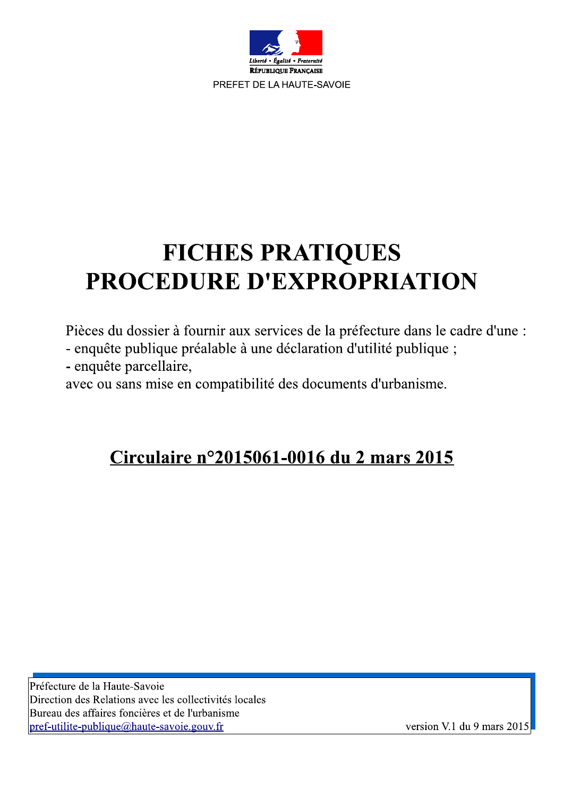

# **FICHES PRATIQUES FICHES PRATIQUES**<br>**PROCEDURE D'EXPROPRIATION**<br>Pièces du dossier à fournir aux services de la préfecture dans le cadre d'une :<br>- enquête publique préalable à une déclaration d'utilité publique ;<br>- enquête parcellaire,<br>avec

Préfecture de la Haute-Savoie<br>
Direction des Relations avec les collectivités locales<br>
Bureau des affaires foncières et de l'urbanisme<br>
pref-utilite-publique@haute-savoie.gouv.fr<br>
version V.1 du 9 mars 2015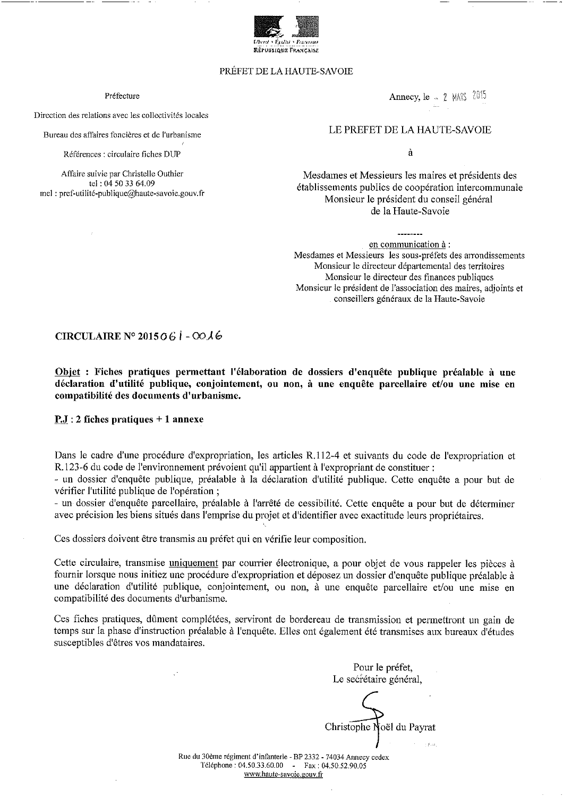

# PRÉFET DE LA HAUTE-SAVOIE

# Préfecture

Direction des relations avec les collectivités locales

Bureau des affaires foncières et de l'urbanisme

Références : circulaire fiches DUP

Affaire suivie par Christelle Outhier tel: 04 50 33 64.09 mel: pref-utilité-publique@haute-savoie.gouv.fr Annecy, le - 2 MARS 2015

# LE PREFET DE LA HAUTE-SAVOIE

 $\lambda$ 

Mesdames et Messieurs les maires et présidents des établissements publics de coopération intercommunale Monsieur le président du conseil général de la Haute-Savoie

en communication à : Mesdames et Messieurs les sous-préfets des arrondissements Monsieur le directeur départemental des territoires Monsieur le directeur des finances publiques Monsieur le président de l'association des maires, adjoints et conseillers généraux de la Haute-Savoie

# CIRCULAIRE N° 2015  $06$  | -  $00\lambda$ 6

Objet : Fiches pratiques permettant l'élaboration de dossiers d'enquête publique préalable à une déclaration d'utilité publique, conjointement, ou non, à une enquête parcellaire et/ou une mise en compatibilité des documents d'urbanisme.

 $P_{1}$ : 2 fiches pratiques + 1 annexe

Dans le cadre d'une procédure d'expropriation, les articles R.112-4 et suivants du code de l'expropriation et R.123-6 du code de l'environnement prévoient qu'il appartient à l'expropriant de constituer :

- un dossier d'enquête publique, préalable à la déclaration d'utilité publique. Cette enquête a pour but de vérifier l'utilité publique de l'opération;

- un dossier d'enquête parcellaire, préalable à l'arrêté de cessibilité. Cette enquête a pour but de déterminer avec précision les biens situés dans l'emprise du projet et d'identifier avec exactitude leurs propriétaires.

Ces dossiers doivent être transmis au préfet qui en vérifie leur composition.

Cette circulaire, transmise uniquement par courrier électronique, a pour objet de vous rappeler les pièces à fournir lorsque nous initiez une procédure d'expropriation et déposez un dossier d'enquête publique préalable à une déclaration d'utilité publique, conjointement, ou non, à une enquête parcellaire et/ou une mise en compatibilité des documents d'urbanisme.

Ces fiches pratiques, dûment complétées, serviront de bordereau de transmission et permettront un gain de temps sur la phase d'instruction préalable à l'enquête. Elles ont également été transmises aux bureaux d'études susceptibles d'êtres vos mandataires.

Pour le préfet, Le secrétaire général,

Christophe Noël du Payrat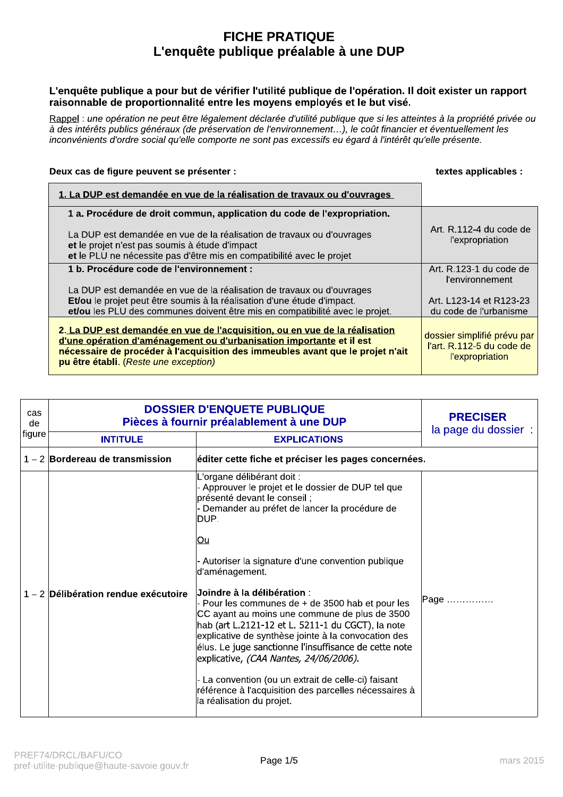# **FICHE PRATIQUE** L'enquête publique préalable à une DUP

# L'enquête publique a pour but de vérifier l'utilité publique de l'opération. Il doit exister un rapport raisonnable de proportionnalité entre les moyens employés et le but visé.

Rappel : une opération ne peut être légalement déclarée d'utilité publique que si les atteintes à la propriété privée ou à des intérêts publics généraux (de préservation de l'environnement...), le coût financier et éventuellement les inconvénients d'ordre social qu'elle comporte ne sont pas excessifs eu égard à l'intérêt qu'elle présente.

# Deux cas de figure peuvent se présenter :<br>
Deux cas de figure peuvent se présenter :

| 1. La DUP est demandée en vue de la réalisation de travaux ou d'ouvrages                                                                                                                                                                                                       |                                                                                    |
|--------------------------------------------------------------------------------------------------------------------------------------------------------------------------------------------------------------------------------------------------------------------------------|------------------------------------------------------------------------------------|
| 1 a. Procédure de droit commun, application du code de l'expropriation.                                                                                                                                                                                                        |                                                                                    |
| La DUP est demandée en vue de la réalisation de travaux ou d'ouvrages<br>et le projet n'est pas soumis à étude d'impact<br>et le PLU ne nécessite pas d'être mis en compatibilité avec le projet                                                                               | Art. R.112-4 du code de<br><i>l'expropriation</i>                                  |
| 1 b. Procédure code de l'environnement :                                                                                                                                                                                                                                       | Art. R.123-1 du code de<br>l'environnement                                         |
| La DUP est demandée en vue de la réalisation de travaux ou d'ouvrages                                                                                                                                                                                                          |                                                                                    |
| Et/ou le projet peut être soumis à la réalisation d'une étude d'impact.                                                                                                                                                                                                        | Art. L123-14 et R123-23                                                            |
| et/ou les PLU des communes doivent être mis en compatibilité avec le projet.                                                                                                                                                                                                   | du code de l'urbanisme                                                             |
| 2. La DUP est demandée en vue de l'acquisition, ou en vue de la réalisation<br>d'une opération d'aménagement ou d'urbanisation importante et il est<br>nécessaire de procéder à l'acquisition des immeubles avant que le projet n'ait<br>pu être établi. (Reste une exception) | dossier simplifié prévu par<br>l'art. R.112-5 du code de<br><b>l'expropriation</b> |

| cas<br>de                 | <b>DOSSIER D'ENQUETE PUBLIQUE</b><br>Pièces à fournir préalablement à une DUP | <b>PRECISER</b><br>la page du dossier :                                                                                                                                                                                                                                                                                                                                                                                                                                                                                                                                                                                                                                                                                                                                   |           |
|---------------------------|-------------------------------------------------------------------------------|---------------------------------------------------------------------------------------------------------------------------------------------------------------------------------------------------------------------------------------------------------------------------------------------------------------------------------------------------------------------------------------------------------------------------------------------------------------------------------------------------------------------------------------------------------------------------------------------------------------------------------------------------------------------------------------------------------------------------------------------------------------------------|-----------|
| figure<br><b>INTITULE</b> |                                                                               | <b>EXPLICATIONS</b>                                                                                                                                                                                                                                                                                                                                                                                                                                                                                                                                                                                                                                                                                                                                                       |           |
|                           | $1 - 2$ Bordereau de transmission                                             | éditer cette fiche et préciser les pages concernées.                                                                                                                                                                                                                                                                                                                                                                                                                                                                                                                                                                                                                                                                                                                      |           |
|                           | $1 - 2$ Délibération rendue exécutoire                                        | L'organe délibérant doit :<br>- Approuver le projet et le dossier de DUP tel que<br>présenté devant le conseil ;<br>- Demander au préfet de lancer la procédure de<br>DUP.<br><u>lOu</u><br>- Autoriser la signature d'une convention publique<br>d'aménagement.<br>$\sf{Joindre}$ à la délibération :<br>- Pour les communes de $+$ de 3500 hab et pour les<br>CC ayant au moins une commune de plus de 3500<br>hab (art L.2121-12 et L. 5211-1 du CGCT), la note<br>explicative de synthèse jointe à la convocation des<br>élus. Le juge sanctionne l'insuffisance de cette note<br>explicative, (CAA Nantes, 24/06/2006).<br>- La convention (ou un extrait de celle-ci) faisant<br>référence à l'acquisition des parcelles nécessaires à<br>la réalisation du projet. | Page      |
|                           | PREF74/DRCL/BAFU/CO<br>pref-utilite-publique@haute-savoie.gouv.fr             | Page 1/5                                                                                                                                                                                                                                                                                                                                                                                                                                                                                                                                                                                                                                                                                                                                                                  | mars 2015 |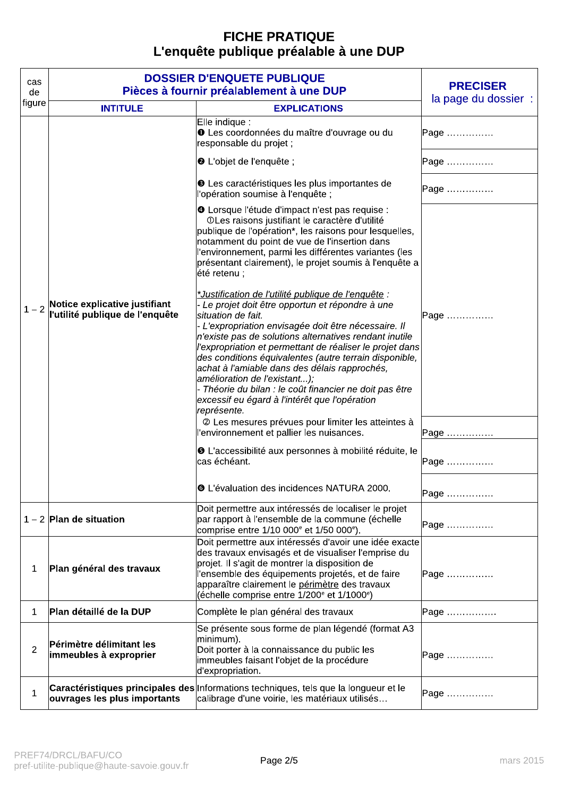# FICHE PRATIQUE<br>L'enquête publique préalable à une DUP

| cas<br>de      | DOSSIER D'ENQUETE PUBLIQUE<br>Pièces à fournir préalablement à une DUP | <b>PRECISER</b>                                                                                                                                                                                                                                                                                                                                                                                                                                                                                                                                                                       |                      |
|----------------|------------------------------------------------------------------------|---------------------------------------------------------------------------------------------------------------------------------------------------------------------------------------------------------------------------------------------------------------------------------------------------------------------------------------------------------------------------------------------------------------------------------------------------------------------------------------------------------------------------------------------------------------------------------------|----------------------|
| figure         | <b>INTITULE</b>                                                        | <b>EXPLICATIONS</b>                                                                                                                                                                                                                                                                                                                                                                                                                                                                                                                                                                   | la page du dossier : |
|                |                                                                        | Elle indique :<br><b>O</b> Les coordonnées du maître d'ouvrage ou du<br>responsable du projet ;                                                                                                                                                                                                                                                                                                                                                                                                                                                                                       | Page                 |
|                |                                                                        | <b>@</b> L'objet de l'enquête ;                                                                                                                                                                                                                                                                                                                                                                                                                                                                                                                                                       | Page                 |
|                |                                                                        | <b>O</b> Les caractéristiques les plus importantes de<br>l'opération soumise à l'enquête ;                                                                                                                                                                                                                                                                                                                                                                                                                                                                                            | Page                 |
| $1 - 2$        |                                                                        | O Lorsque l'étude d'impact n'est pas requise :<br>OLes raisons justifiant le caractère d'utilité<br>publique de l'opération*, les raisons pour lesquelles,<br>notamment du point de vue de l'insertion dans<br>l'environnement, parmi les différentes variantes (les<br>présentant clairement), le projet soumis à l'enquête a<br> été retenu ;                                                                                                                                                                                                                                       |                      |
|                | Notice explicative justifiant<br>l'utilité publique de l'enquête       | *Justification de l'utilité publique de l'enquête :<br>- Le projet doit être opportun et répondre à une<br>situation de fait.<br>- L'expropriation envisagée doit être nécessaire. Il<br>$ n$ 'existe pas de solutions alternatives rendant inutile<br>l'expropriation et permettant de réaliser le projet dans<br>des conditions équivalentes (autre terrain disponible,<br>achat à l'amiable dans des délais rapprochés,<br>amélioration de l'existant);<br>- Théorie du bilan : le coût financier ne doit pas être<br>excessif eu égard à l'intérêt que l'opération<br>représente. | Page                 |
|                |                                                                        | 2 Les mesures prévues pour limiter les atteintes à<br>l'environnement et pallier les nuisances.                                                                                                                                                                                                                                                                                                                                                                                                                                                                                       | Page                 |
|                |                                                                        | 6 L'accessibilité aux personnes à mobilité réduite, le<br>cas échéant.                                                                                                                                                                                                                                                                                                                                                                                                                                                                                                                | Page                 |
|                |                                                                        | <b>O</b> L'évaluation des incidences NATURA 2000.                                                                                                                                                                                                                                                                                                                                                                                                                                                                                                                                     | Page                 |
|                | $1 - 2$ Plan de situation                                              | Doit permettre aux intéressés de localiser le projet<br>par rapport à l'ensemble de la commune (échelle<br>comprise entre 1/10 000° et 1/50 000°).                                                                                                                                                                                                                                                                                                                                                                                                                                    | Page                 |
| $\mathbf{1}$   | Plan général des travaux                                               | Doit permettre aux intéressés d'avoir une idée exacte<br>des travaux envisagés et de visualiser l'emprise du<br>projet. Il s'agit de montrer la disposition de<br>l'ensemble des équipements projetés, et de faire<br>apparaître clairement le périmètre des travaux<br>(échelle comprise entre 1/200 <sup>e</sup> et 1/1000 <sup>e</sup> )                                                                                                                                                                                                                                           | Page                 |
| $\mathbf{1}$   | Plan détaillé de la DUP                                                | Complète le plan général des travaux                                                                                                                                                                                                                                                                                                                                                                                                                                                                                                                                                  | Page                 |
| $\overline{2}$ | <b>Périmètre délimitant les</b><br>immeubles à exproprier              | Se présente sous forme de plan légendé (format A3<br>minimum).<br>Doit porter à la connaissance du public les<br>immeubles faisant l'objet de la procédure<br>d'expropriation.                                                                                                                                                                                                                                                                                                                                                                                                        | Page                 |
| $\mathbf 1$    | ouvrages les plus importants                                           | Caractéristiques principales des Informations techniques, tels que la longueur et le<br>calibrage d'une voirie, les matériaux utilisés                                                                                                                                                                                                                                                                                                                                                                                                                                                | Page                 |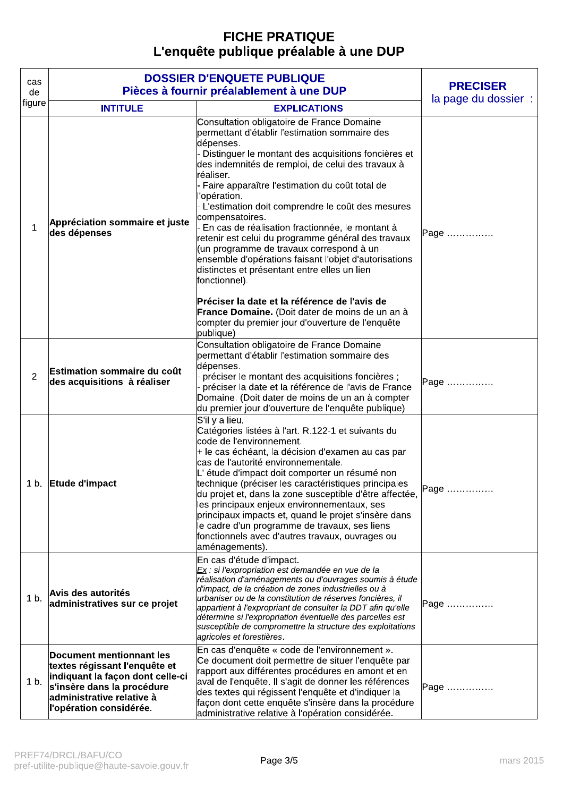# FICHE PRATIQUE<br>L'enquête publique préalable à une DUP

| cas<br>de      | <b>DOSSIER D'ENQUETE PUBLIQUE</b><br>Pièces à fournir préalablement à une DUP                                                                                                              | <b>PRECISER</b><br>la page du dossier :                                                                                                                                                                                                                                                                                                                                                                                                                                                                                                                                                                                                                                                                                                                                                                                                 |      |
|----------------|--------------------------------------------------------------------------------------------------------------------------------------------------------------------------------------------|-----------------------------------------------------------------------------------------------------------------------------------------------------------------------------------------------------------------------------------------------------------------------------------------------------------------------------------------------------------------------------------------------------------------------------------------------------------------------------------------------------------------------------------------------------------------------------------------------------------------------------------------------------------------------------------------------------------------------------------------------------------------------------------------------------------------------------------------|------|
| figure         | <b>INTITULE</b>                                                                                                                                                                            | <b>EXPLICATIONS</b>                                                                                                                                                                                                                                                                                                                                                                                                                                                                                                                                                                                                                                                                                                                                                                                                                     |      |
| $\mathbf{1}$   | <b>Appréciation sommaire et juste</b><br>des dépenses                                                                                                                                      | Consultation obligatoire de France Domaine<br>permettant d'établir l'estimation sommaire des<br>dépenses.<br>- Distinguer le montant des acquisitions foncières et<br>des indemnités de remploi, de celui des travaux à<br>réaliser.<br>- Faire apparaître l'estimation du coût total de<br>l'opération.<br>- L'estimation doit comprendre le coût des mesures<br>compensatoires.<br>- En cas de réalisation fractionnée, le montant à<br>retenir est celui du programme général des travaux<br>(un programme de travaux correspond à un<br>ensemble d'opérations faisant l'objet d'autorisations<br>distinctes et présentant entre elles un lien<br>fonctionnel).<br>Préciser la date et la référence de l'avis de<br>France Domaine. (Doit dater de moins de un an à<br>compter du premier jour d'ouverture de l'enquête<br>publique) | Page |
| $\overline{c}$ | <b>Estimation sommaire du coût</b><br>des acquisitions à réaliser                                                                                                                          | Consultation obligatoire de France Domaine<br>permettant d'établir l'estimation sommaire des<br>dépenses.<br>préciser le montant des acquisitions foncières ;<br>préciser la date et la référence de l'avis de France<br>Domaine. (Doit dater de moins de un an à compter<br>du premier jour d'ouverture de l'enquête publique)                                                                                                                                                                                                                                                                                                                                                                                                                                                                                                         | Page |
|                | 1 b. Etude d'impact                                                                                                                                                                        | S'il y a lieu.<br>Catégories listées à l'art. R.122-1 et suivants du<br>code de l'environnement.<br>+ le cas échéant, la décision d'examen au cas par<br>cas de l'autorité environnementale.<br>L'étude d'impact doit comporter un résumé non<br>technique (préciser les caractéristiques principales<br>du projet et, dans la zone susceptible d'être affectée,<br>les principaux enjeux environnementaux, ses<br>principaux impacts et, quand le projet s'insère dans<br>le cadre d'un programme de travaux, ses liens<br>fonctionnels avec d'autres travaux, ouvrages ou<br>aménagements).                                                                                                                                                                                                                                           | Page |
| 1 <sub>b</sub> | <b>Avis des autorités</b><br>administratives sur ce projet                                                                                                                                 | En cas d'étude d'impact.<br>Ex : si l'expropriation est demandée en vue de la<br>réalisation d'aménagements ou d'ouvrages soumis à étude<br>d'impact, de la création de zones industrielles ou à<br>urbaniser ou de la constitution de réserves foncières, il<br>appartient à l'expropriant de consulter la DDT afin qu'elle<br>détermine si l'expropriation éventuelle des parcelles est<br>susceptible de compromettre la structure des exploitations<br>agricoles et forestières.                                                                                                                                                                                                                                                                                                                                                    | Page |
| 1 <sub>b</sub> | Document mentionnant les<br>textes régissant l'enquête et<br>indiquant la façon dont celle-ci<br>s'insère dans la procédure<br><b>administrative relative à</b><br>l'opération considérée. | En cas d'enquête « code de l'environnement ».<br>Ce document doit permettre de situer l'enquête par<br>rapport aux différentes procédures en amont et en<br>aval de l'enquête. Il s'agit de donner les références<br>des textes qui régissent l'enquête et d'indiquer la<br>façon dont cette enquête s'insère dans la procédure<br>administrative relative à l'opération considérée.                                                                                                                                                                                                                                                                                                                                                                                                                                                    | Page |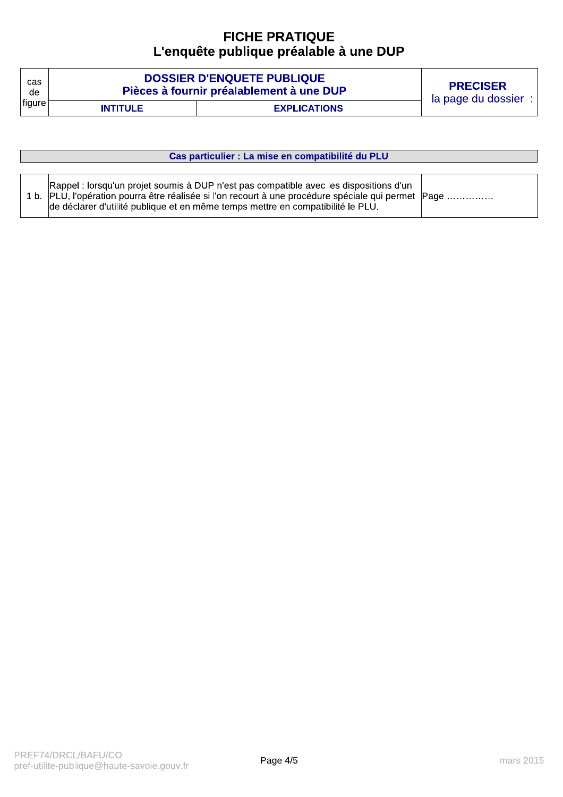# **FICHE PRATIOUE** L'enquête publique préalable à une DUP

| cas    |                 | <b>DOSSIER D'ENQUETE PUBLIQUE</b>        | <b>PRECISER</b>    |
|--------|-----------------|------------------------------------------|--------------------|
| de     |                 | Pièces à fournir préalablement à une DUP | la page du dossier |
| figure | <b>INTITULE</b> | <b>EXPLICATIONS</b>                      |                    |

| Cas particulier : La mise en compatibilité du PLU                                                                                                                                                                                                                                |  |  |  |  |  |  |  |  |  |
|----------------------------------------------------------------------------------------------------------------------------------------------------------------------------------------------------------------------------------------------------------------------------------|--|--|--|--|--|--|--|--|--|
|                                                                                                                                                                                                                                                                                  |  |  |  |  |  |  |  |  |  |
| Rappel : lorsqu'un projet soumis à DUP n'est pas compatible avec les dispositions d'un<br>1 b. PLU, l'opération pourra être réalisée si l'on recourt à une procédure spéciale qui permet Page<br>de déclarer d'utilité publique et en même temps mettre en compatibilité le PLU. |  |  |  |  |  |  |  |  |  |

 $\mathbf{I}$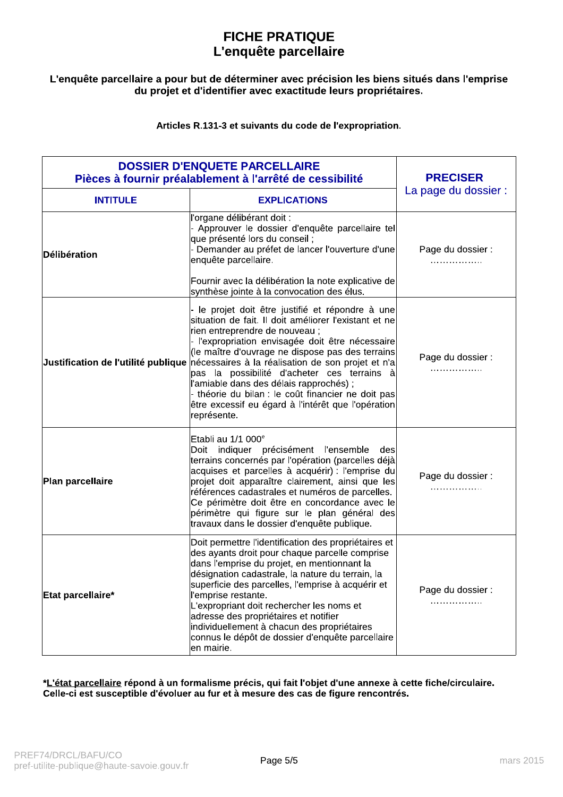# **FICHE PRATIQUE** L'enquête parcellaire

# L'enquête parcellaire a pour but de déterminer avec précision les biens situés dans l'emprise du projet et d'identifier avec exactitude leurs propriétaires.

Articles R.131-3 et suivants du code de l'expropriation.

| <b>DOSSIER D'ENQUETE PARCELLAIRE</b><br>Pièces à fournir préalablement à l'arrêté de cessibilité | <b>PRECISER</b>                                                                                                                                                                                                                                                                                                                                                                                                                                                                                                                                                                                             |                        |
|--------------------------------------------------------------------------------------------------|-------------------------------------------------------------------------------------------------------------------------------------------------------------------------------------------------------------------------------------------------------------------------------------------------------------------------------------------------------------------------------------------------------------------------------------------------------------------------------------------------------------------------------------------------------------------------------------------------------------|------------------------|
| <b>INTITULE</b>                                                                                  | <b>EXPLICATIONS</b>                                                                                                                                                                                                                                                                                                                                                                                                                                                                                                                                                                                         | La page du dossier :   |
| Délibération                                                                                     | l'organe délibérant doit :<br>- Approuver le dossier d'enquête parcellaire tel<br>que présenté lors du conseil;<br>- Demander au préfet de lancer l'ouverture d'une<br>enquête parcellaire.<br>Fournir avec la délibération la note explicative de                                                                                                                                                                                                                                                                                                                                                          | Page du dossier :<br>. |
|                                                                                                  | synthèse jointe à la convocation des élus.<br>le projet doit être justifié et répondre à une<br>situation de fait. Il doit améliorer l'existant et ne<br>rien entreprendre de nouveau;<br>- l'expropriation envisagée doit être nécessaire<br>(le maître d'ouvrage ne dispose pas des terrains<br>Justification de l'utilité publique nécessaires à la réalisation de son projet et n'a<br>pas la possibilité d'acheter ces terrains à<br>l'amiable dans des délais rapprochés);<br>- théorie du bilan : le coût financier ne doit pas<br>être excessif eu égard à l'intérêt que l'opération<br>représente. | Page du dossier :<br>. |
| Plan parcellaire                                                                                 | Etabli au 1/1 000 <sup>e</sup><br>Doit indiquer précisément l'ensemble<br>des<br>terrains concernés par l'opération (parcelles déjà<br>acquises et parcelles à acquérir) : l'emprise du<br>projet doit apparaître clairement, ainsi que les<br>références cadastrales et numéros de parcelles.<br>Ce périmètre doit être en concordance avec le<br>périmètre qui figure sur le plan général des<br>travaux dans le dossier d'enquête publique.                                                                                                                                                              | Page du dossier :<br>. |
| Etat parcellaire*                                                                                | Doit permettre l'identification des propriétaires et<br>des ayants droit pour chaque parcelle comprise<br>dans l'emprise du projet, en mentionnant la<br>désignation cadastrale, la nature du terrain, la<br>superficie des parcelles, l'emprise à acquérir et<br>l'emprise restante.<br>L'expropriant doit rechercher les noms et<br>adresse des propriétaires et notifier<br>individuellement à chacun des propriétaires<br>connus le dépôt de dossier d'enquête parcellaire<br>en mairie.                                                                                                                | Page du dossier :<br>. |

\*L'état parcellaire répond à un formalisme précis, qui fait l'objet d'une annexe à cette fiche/circulaire. Celle-ci est susceptible d'évoluer au fur et à mesure des cas de figure rencontrés.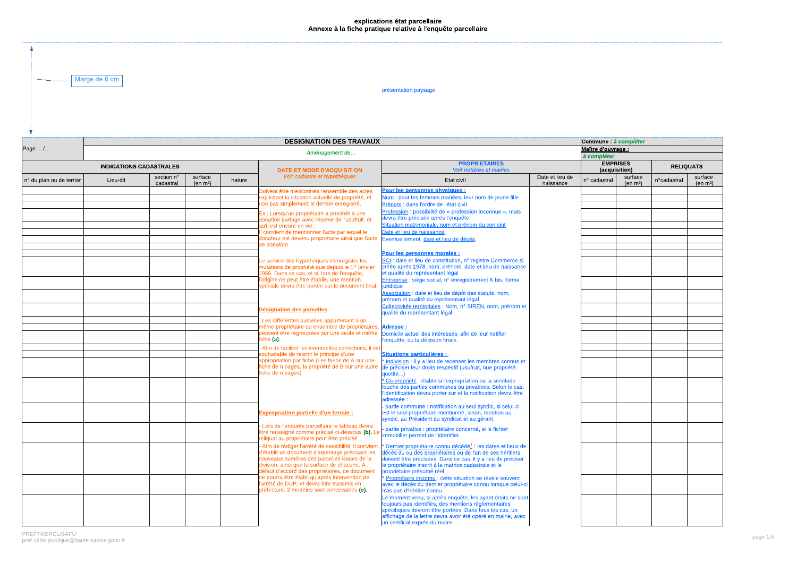# explications état parcellaire<br>Annexe à la fiche pratique relative à l'enquête parcellaire

Marge de 6 cm

présentation paysage

|                                |          |                                              |                                                  | Commune : à compléter |                                                                                                   |                                                                                                                            |                              |              |                       |             |                                 |  |  |  |
|--------------------------------|----------|----------------------------------------------|--------------------------------------------------|-----------------------|---------------------------------------------------------------------------------------------------|----------------------------------------------------------------------------------------------------------------------------|------------------------------|--------------|-----------------------|-------------|---------------------------------|--|--|--|
| Page /                         |          |                                              |                                                  |                       |                                                                                                   |                                                                                                                            |                              |              | Maître d'ouvrage :    |             |                                 |  |  |  |
|                                |          |                                              |                                                  |                       | Aménagement de                                                                                    |                                                                                                                            |                              | à compléter  |                       |             |                                 |  |  |  |
| <b>INDICATIONS CADASTRALES</b> |          | <b>DATE ET MODE D'ACQUISITION</b>            | <b>PROPRIETAIRES</b><br>Voir notaires et mairies |                       | <b>EMPRISES</b><br>(acquisition)                                                                  |                                                                                                                            | <b>RELIQUATS</b>             |              |                       |             |                                 |  |  |  |
| n° du plan ou de terrier       | Lieu-dit | section n°<br>cadastral                      | surface<br>(en m <sup>2</sup> )                  | nature                | Voir cadastre et hypothèques                                                                      | Etat civil                                                                                                                 | Date et lieu de<br>naissance | n° cadastral | surface<br>(en $m2$ ) | n°cadastral | surface<br>(en m <sup>2</sup> ) |  |  |  |
|                                |          |                                              |                                                  |                       | Doivent être mentionnés l'ensemble des actes                                                      | Pour les personnes physiques :                                                                                             |                              |              |                       |             |                                 |  |  |  |
|                                |          |                                              |                                                  |                       | explicitant la situation actuelle de propriété, et                                                | Nom : pour les femmes mariées, leur nom de jeune fille                                                                     |                              |              |                       |             |                                 |  |  |  |
|                                |          |                                              |                                                  |                       | non pas simplement le dernier enregistré.                                                         | Prénom : dans l'ordre de l'état civil                                                                                      |                              |              |                       |             |                                 |  |  |  |
|                                |          |                                              |                                                  |                       | Ex : Lorsqu'un propriétaire a procédé à une                                                       | Profession : possibilité de « profession inconnue », mais                                                                  |                              |              |                       |             |                                 |  |  |  |
|                                |          |                                              |                                                  |                       | donation partage avec réserve de l'usufruit, et                                                   | devra être précisée après l'enquête.                                                                                       |                              |              |                       |             |                                 |  |  |  |
|                                |          |                                              |                                                  |                       | qu'il est encore en vie.                                                                          | Situation matrimoniale, nom et prénom du conioint                                                                          |                              |              |                       |             |                                 |  |  |  |
|                                |          |                                              |                                                  |                       | convient de mentionner l'acte par lequel le<br>donateur est devenu propriétaire ainsi que l'acte  | Date et lieu de naissance                                                                                                  |                              |              |                       |             |                                 |  |  |  |
|                                |          |                                              |                                                  |                       | de donation.                                                                                      | Eventuellement, date et lieu de décès.                                                                                     |                              |              |                       |             |                                 |  |  |  |
|                                |          |                                              |                                                  |                       |                                                                                                   |                                                                                                                            |                              |              |                       |             |                                 |  |  |  |
|                                |          |                                              |                                                  |                       |                                                                                                   | Pour les personnes morales :<br>SCI : date et lieu de constitution, n° registre Commerce si                                |                              |              |                       |             |                                 |  |  |  |
|                                |          |                                              |                                                  |                       | Le service des hypothèques n'enregistre les<br>mutations de propriété que depuis le 1er janvier   | créée après 1978, nom, prénom, date et lieu de naissance                                                                   |                              |              |                       |             |                                 |  |  |  |
|                                |          | 1956. Dans ce cas, et si, lors de l'enquête, | et qualité du représentant légal                 |                       |                                                                                                   |                                                                                                                            |                              |              |                       |             |                                 |  |  |  |
|                                |          |                                              |                                                  |                       | 'origine ne peut être établie, une mention                                                        | Entreprise : siège social, n° enregistrement K bis, forme                                                                  |                              |              |                       |             |                                 |  |  |  |
|                                |          |                                              |                                                  |                       | spéciale devra être portée sur le document final.                                                 | iuridiaue                                                                                                                  |                              |              |                       |             |                                 |  |  |  |
|                                |          |                                              |                                                  |                       |                                                                                                   | Association : date et lieu de dépôt des statuts, nom,                                                                      |                              |              |                       |             |                                 |  |  |  |
|                                |          |                                              |                                                  |                       |                                                                                                   | prénom et qualité du représentant légal                                                                                    |                              |              |                       |             |                                 |  |  |  |
|                                |          |                                              |                                                  |                       | <b>Désignation des parcelles</b>                                                                  | Collectivités territoriales : Nom, n° SIREN, nom, prénom et<br>qualité du représentant légal                               |                              |              |                       |             |                                 |  |  |  |
|                                |          |                                              |                                                  |                       | Les différentes parcelles appartenant à un                                                        |                                                                                                                            |                              |              |                       |             |                                 |  |  |  |
|                                |          |                                              |                                                  |                       | même propriétaire ou ensemble de propriétaires, <i>Adresse :</i>                                  |                                                                                                                            |                              |              |                       |             |                                 |  |  |  |
|                                |          |                                              |                                                  |                       | peuvent être regroupées sur une seule et même<br>ïche (a).                                        | Domicile actuel des intéressés, afin de leur notifier<br>'enquête, ou la décision finale.                                  |                              |              |                       |             |                                 |  |  |  |
|                                |          |                                              |                                                  |                       |                                                                                                   |                                                                                                                            |                              |              |                       |             |                                 |  |  |  |
|                                |          |                                              |                                                  |                       | Afin de faciliter les éventuelles corrections, il est<br>souhaitable de retenir le principe d'une | <b>Situations particulières :</b>                                                                                          |                              |              |                       |             |                                 |  |  |  |
|                                |          |                                              |                                                  |                       | appropriation par fiche (Les biens de A sur une                                                   | Indivision : il y a lieu de recenser les membres connus et                                                                 |                              |              |                       |             |                                 |  |  |  |
|                                |          |                                              |                                                  |                       | fiche de n pages, la propriété de B sur une autre                                                 | de préciser leur droits respectif (usufruit, nue propriété,                                                                |                              |              |                       |             |                                 |  |  |  |
|                                |          |                                              |                                                  |                       | iche de n pages)                                                                                  | quotité)                                                                                                                   |                              |              |                       |             |                                 |  |  |  |
|                                |          |                                              |                                                  |                       |                                                                                                   | Co-propriété : établir si l'expropriation ou la servitude                                                                  |                              |              |                       |             |                                 |  |  |  |
|                                |          |                                              |                                                  |                       |                                                                                                   | touche des parties communes ou privatives. Selon le cas,<br>'identification devra porter sur et la notification devra être |                              |              |                       |             |                                 |  |  |  |
|                                |          |                                              |                                                  |                       |                                                                                                   | adressée :                                                                                                                 |                              |              |                       |             |                                 |  |  |  |
|                                |          |                                              |                                                  |                       |                                                                                                   | partie commune : notification au seul syndic, si celui-ci                                                                  |                              |              |                       |             |                                 |  |  |  |
|                                |          |                                              |                                                  |                       | <b>Expropriation partielle d'un terrain :</b>                                                     | est le seul propriétaire mentionné, sinon, mention au                                                                      |                              |              |                       |             |                                 |  |  |  |
|                                |          |                                              |                                                  |                       |                                                                                                   | syndic, au Président du syndicat et au gérant.                                                                             |                              |              |                       |             |                                 |  |  |  |
|                                |          |                                              |                                                  |                       | Lors de l'enquête parcellaire le tableau devra                                                    | partie privative : propriétaire concerné, si le fichier                                                                    |                              |              |                       |             |                                 |  |  |  |
|                                |          |                                              |                                                  |                       | être renseigné comme précisé ci-dessous (b). L<br>eliquat au propriétaire peut être précisé.      | mmobilier permet de l'identifier.                                                                                          |                              |              |                       |             |                                 |  |  |  |
|                                |          |                                              |                                                  |                       | Afin de rédiger l'arrêté de cessibilité, il convient                                              | $\epsilon$ Dernier propriétaire connu décédé $^1$ : les dates et lieux de                                                  |                              |              |                       |             |                                 |  |  |  |
|                                |          |                                              |                                                  |                       | d'établir un document d'arpentage précisant les                                                   | décès du ou des propriétaires ou de l'un de ses héritiers                                                                  |                              |              |                       |             |                                 |  |  |  |
|                                |          |                                              |                                                  |                       | nouveaux numéros des parcelles issues de la                                                       | doivent être précisées. Dans ce cas, il y a lieu de préciser                                                               |                              |              |                       |             |                                 |  |  |  |
|                                |          |                                              |                                                  |                       | division, ainsi que la surface de chacune. A                                                      | le propriétaire inscrit à la matrice cadastrale et le                                                                      |                              |              |                       |             |                                 |  |  |  |
|                                |          |                                              |                                                  |                       | défaut d'accord des propriétaires, ce document                                                    | propriétaire présumé réel.                                                                                                 |                              |              |                       |             |                                 |  |  |  |
|                                |          |                                              |                                                  |                       | ne pourra être établi qu'après intervention de<br>'arrêté de DUP, et devra être transmis en       | * Propriétaire inconnu : cette situation se révèle souvent<br>avec le décès du dernier propriétaire connu lorsque celui-ci |                              |              |                       |             |                                 |  |  |  |
|                                |          |                                              |                                                  |                       | préfecture. 2 modèles sont concevables (c).                                                       | n'as pas d'héritier connu.                                                                                                 |                              |              |                       |             |                                 |  |  |  |
|                                |          |                                              |                                                  |                       |                                                                                                   | Le moment venu, si après enquête, les ayant droits ne sont                                                                 |                              |              |                       |             |                                 |  |  |  |
|                                |          |                                              |                                                  |                       |                                                                                                   | toujours pas identifiés, des mentions réglementaires                                                                       |                              |              |                       |             |                                 |  |  |  |
|                                |          |                                              |                                                  |                       |                                                                                                   | spécifiques devront être portées. Dans tous les cas, un<br>affichage de la lettre devra avoir été opéré en mairie, avec    |                              |              |                       |             |                                 |  |  |  |
|                                |          |                                              |                                                  |                       |                                                                                                   | un certificat exprès du maire.                                                                                             |                              |              |                       |             |                                 |  |  |  |
|                                |          |                                              |                                                  |                       |                                                                                                   |                                                                                                                            |                              |              |                       |             |                                 |  |  |  |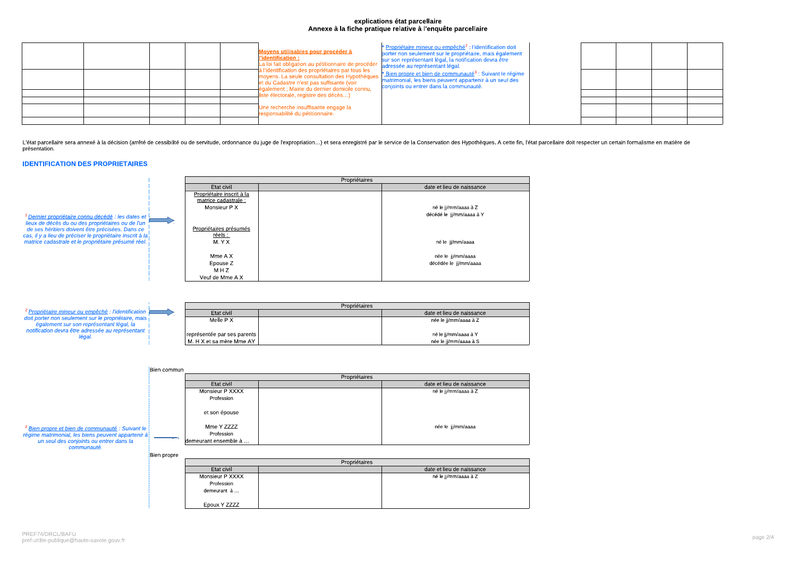# explications état parcellaire Annexe à la fiche pratique relative à l'enquête parcellaire

| Moyens utilisables pour procéder à<br>l'identification :<br>La loi fait obligation au pétitionnaire de procéder<br>à l'identification des propriétaires par tous les<br>moyens. La seule consultation des Hypothèques<br>et du Cadastre n'est pas suffisante (voir<br>également ; Mairie du dernier domicile connu, | * Propriétaire mineur ou empêché <sup>2</sup> : l'identification doit<br>porter non seulement sur le propriétaire, mais également<br>sur son représentant légal, la notification devra être<br>adressée au représentant légal.<br>* Bien propre et bien de communauté <sup>3</sup> : Suivant le régime<br>matrimonial, les biens peuvent appartenir à un seul des<br>conjoints ou entrer dans la communauté. |  |  |  |
|---------------------------------------------------------------------------------------------------------------------------------------------------------------------------------------------------------------------------------------------------------------------------------------------------------------------|--------------------------------------------------------------------------------------------------------------------------------------------------------------------------------------------------------------------------------------------------------------------------------------------------------------------------------------------------------------------------------------------------------------|--|--|--|
| liste électorale, registre des décès)                                                                                                                                                                                                                                                                               |                                                                                                                                                                                                                                                                                                                                                                                                              |  |  |  |
| Une recherche insuffisante engage la<br>responsabilité du pétitionnaire.                                                                                                                                                                                                                                            |                                                                                                                                                                                                                                                                                                                                                                                                              |  |  |  |

L'état parcellaire sera annexé à la décision (arrêté de cessibilité ou de servitude, ordonnance du juge de l'expropriation...) et sera enregistré par le service de la Conservation des Hypothèques. A cette fin, l'état parce présentation.

# **IDENTIFICATION DES PROPRIETAIRES**

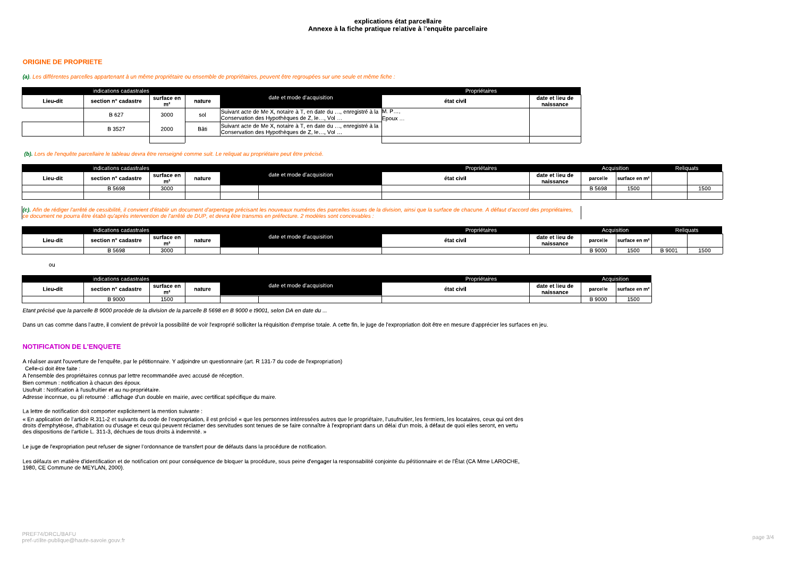### explications état parcellaire Annexe à la fiche pratique relative à l'enquête parcellaire

## **ORIGINE DE PROPRIETE**

### (a). Les différentes parcelles appartenant à un même propriétaire ou ensemble de propriétaires, peuvent être regroupées sur une seule et même fiche

|          | indications cadastrales |                              |        |                                                                                                                      | Propriétaires |                              |  |  |
|----------|-------------------------|------------------------------|--------|----------------------------------------------------------------------------------------------------------------------|---------------|------------------------------|--|--|
| Lieu dit | section n° cadastre     | surface en<br>m <sup>2</sup> | nature | date et mode d'acquisition                                                                                           | état civil    | date et lieu de<br>naissance |  |  |
|          | B 627                   | 3000                         | sol    | Suivant acte de Me X, notaire à T, en date du , enregistré à la  M. P,<br>Conservation des Hypothèques de Z, le, Vol | Epoux         |                              |  |  |
|          | B 3527                  | 2000                         | Bâti   | Suivant acte de Me X, notaire à T, en date du , enregistré à la<br>Conservation des Hypothèques de Z. le, Vol        |               |                              |  |  |
|          |                         |                              |        |                                                                                                                      |               |                              |  |  |

### (b). Lors de l'enquête parcellaire le tableau devra être renseigné comme suit. Le reliquat au propriétaire peut être précisé.

| indications cadastrales |                     |                      |        |                            | Propriétaires |                              |          | Acauisition    | Religuats |
|-------------------------|---------------------|----------------------|--------|----------------------------|---------------|------------------------------|----------|----------------|-----------|
| Lieu-dit                | section n° cadastre | surface en<br>$\sim$ | nature | date et mode d'acquisition | état civil    | date et lieu de<br>naissance | parcelle | ∣surface en mª |           |
|                         | B 5698              | 3000                 |        |                            |               |                              | 3 5698   | 1EOC<br>エンいい   | 1500      |
|                         |                     |                      |        |                            |               |                              |          |                |           |

(c). Afin de rédiger l'arrêté de cessibilité, il convient d'établir un document d'arpentage précisant les nouveaux numéros des parcelles issues de la division, ainsi que la surface de chacune. A défaut d'accord des proprié ce document ne pourra être établi qu'après intervention de l'arrêté de DUP, et devra être transmis en préfecture. 2 modèles sont concevables

| dications cadastrales |                     |                 |        |                            | Propriétaires |                              |                  | Acquisition                |        | <b>Reliquats</b> |
|-----------------------|---------------------|-----------------|--------|----------------------------|---------------|------------------------------|------------------|----------------------------|--------|------------------|
| Lieu-dit              | section n° cadastre | surface en<br>m | nature | date et mode d'acquisition | état civ.     | date et lieu de<br>naissance | oarcelle         | ∣surface en m <sup>2</sup> |        |                  |
|                       | <b>B</b> 5698       | 3000            |        |                            |               |                              | a nonc<br>יטטכ כ | $-00$<br>⊥∪∪               | B 9001 | 150              |

ou

|          | indications cadastrales |                  |        |                                 | Propriétaires                              |  |               | <b>Acquisition</b> |  |  |
|----------|-------------------------|------------------|--------|---------------------------------|--------------------------------------------|--|---------------|--------------------|--|--|
| ∟ieu cit | section n° cadastre     | surface en<br>mi | nature | et mode d'acquisition<br>iate e | date et lieu de<br>état civil<br>naissance |  | parcelle      | ∣surface en mª     |  |  |
|          | B 9000                  | 1500             |        |                                 |                                            |  | <b>B</b> 9000 | 1500               |  |  |

Etant précisé que la parcelle B 9000 procède de la division de la parcelle B 5698 en B 9000 e t9001, selon DA en date du ...

Dans un cas comme dans l'autre, il convient de prévoir la possibilité de voir l'exproprié solliciter la réquisition d'emprise totale. A cette fin, le juge de l'expropriation doit être en mesure d'apprécier les surfaces en

# **NOTIFICATION DE L'ENQUETE**

A réaliser avant l'ouverture de l'enquête, par le pétitionnaire. Y adjoindre un questionnaire (art. R 131-7 du code de l'expropriation) Celle-ci doit être faite A l'ensemble des propriétaires connus par lettre recommandée avec accusé de réception.

Bien commun : notification à chacun des époux.

Usufruit : Notification à l'usufruitier et au nu-propriétaire.

Adresse inconnue, ou pli retourné : affichage d'un double en mairie, avec certificat spécifique du maire.

La lettre de notification doit comporter explicitement la mention suivante :

« En application de l'article R.311-2 et suivants du code de l'expropriation, il est précisé « que les personnes intéressées autres que le propriétaire, l'usufruitier, les fermiers, les locataires, ceux qui ont des droits d'emphytéose, d'habitation ou d'usage et ceux qui peuvent réclamer des servitudes sont tenues de se faire connaître à l'expropriant dans un délai d'un mois, à défaut de quoi elles seront, en vertu des dispositions de l'article L. 311-3, déchues de tous droits à indemnité. »

Le juge de l'expropriation peut refuser de signer l'ordonnance de transfert pour de défauts dans la procédure de notification.

Les défauts en matière d'identification et de notification ont pour conséquence de bloquer la procédure, sous peine d'engager la responsabilité conjointe du pétitionnaire et de l'État (CA Mme LAROCHE, 1980, CE Commune de MEYLAN, 2000).